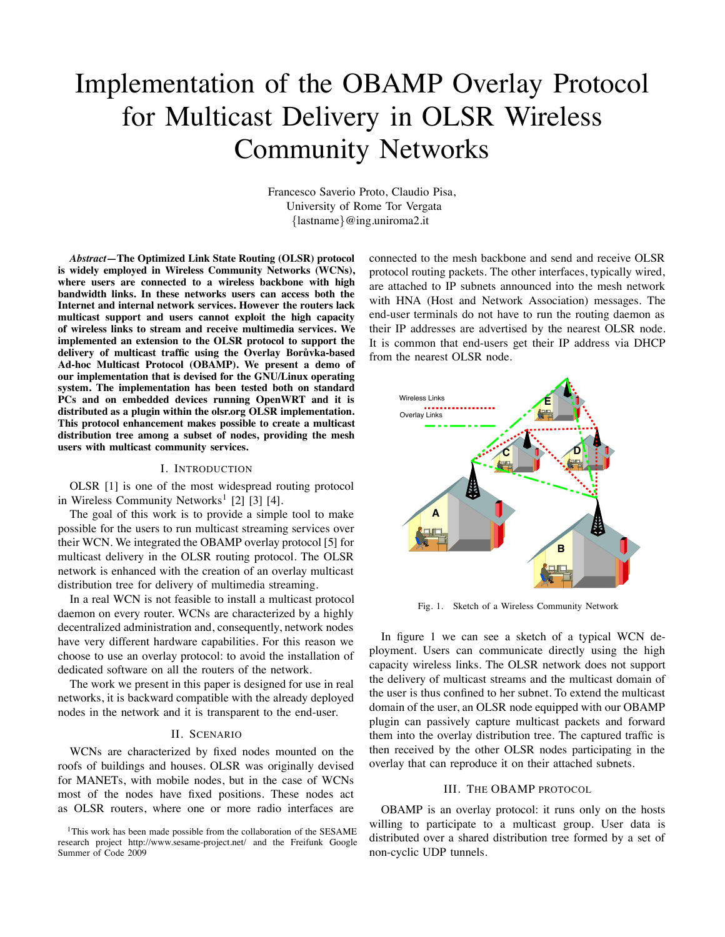# Implementation of the OBAMP Overlay Protocol for Multicast Delivery in OLSR Wireless Community Networks

Francesco Saverio Proto, Claudio Pisa, University of Rome Tor Vergata {lastname}@ing.uniroma2.it

*Abstract***—The Optimized Link State Routing (OLSR) protocol is widely employed in Wireless Community Networks (WCNs), where users are connected to a wireless backbone with high bandwidth links. In these networks users can access both the Internet and internal network services. However the routers lack multicast support and users cannot exploit the high capacity of wireless links to stream and receive multimedia services. We implemented an extension to the OLSR protocol to support the** delivery of multicast traffic using the Overlay Borůvka-based **Ad-hoc Multicast Protocol (OBAMP). We present a demo of our implementation that is devised for the GNU/Linux operating system. The implementation has been tested both on standard PCs and on embedded devices running OpenWRT and it is distributed as a plugin within the olsr.org OLSR implementation. This protocol enhancement makes possible to create a multicast distribution tree among a subset of nodes, providing the mesh users with multicast community services.**

# I. INTRODUCTION

OLSR [1] is one of the most widespread routing protocol in Wireless Community Networks<sup>1</sup> [2] [3] [4].

The goal of this work is to provide a simple tool to make possible for the users to run multicast streaming services over their WCN. We integrated the OBAMP overlay protocol [5] for multicast delivery in the OLSR routing protocol. The OLSR network is enhanced with the creation of an overlay multicast distribution tree for delivery of multimedia streaming.

In a real WCN is not feasible to install a multicast protocol daemon on every router. WCNs are characterized by a highly decentralized administration and, consequently, network nodes have very different hardware capabilities. For this reason we choose to use an overlay protocol: to avoid the installation of dedicated software on all the routers of the network.

The work we present in this paper is designed for use in real networks, it is backward compatible with the already deployed nodes in the network and it is transparent to the end-user.

#### II. SCENARIO

WCNs are characterized by fixed nodes mounted on the roofs of buildings and houses. OLSR was originally devised for MANETs, with mobile nodes, but in the case of WCNs most of the nodes have fixed positions. These nodes act as OLSR routers, where one or more radio interfaces are

<sup>1</sup>This work has been made possible from the collaboration of the SESAME research project http://www.sesame-project.net/ and the Freifunk Google Summer of Code 2009

connected to the mesh backbone and send and receive OLSR protocol routing packets. The other interfaces, typically wired, are attached to IP subnets announced into the mesh network with HNA (Host and Network Association) messages. The end-user terminals do not have to run the routing daemon as their IP addresses are advertised by the nearest OLSR node. It is common that end-users get their IP address via DHCP from the nearest OLSR node.



Fig. 1. Sketch of a Wireless Community Network

In figure 1 we can see a sketch of a typical WCN deployment. Users can communicate directly using the high capacity wireless links. The OLSR network does not support the delivery of multicast streams and the multicast domain of the user is thus confined to her subnet. To extend the multicast domain of the user, an OLSR node equipped with our OBAMP plugin can passively capture multicast packets and forward them into the overlay distribution tree. The captured traffic is then received by the other OLSR nodes participating in the overlay that can reproduce it on their attached subnets.

## III. THE OBAMP PROTOCOL

OBAMP is an overlay protocol: it runs only on the hosts willing to participate to a multicast group. User data is distributed over a shared distribution tree formed by a set of non-cyclic UDP tunnels.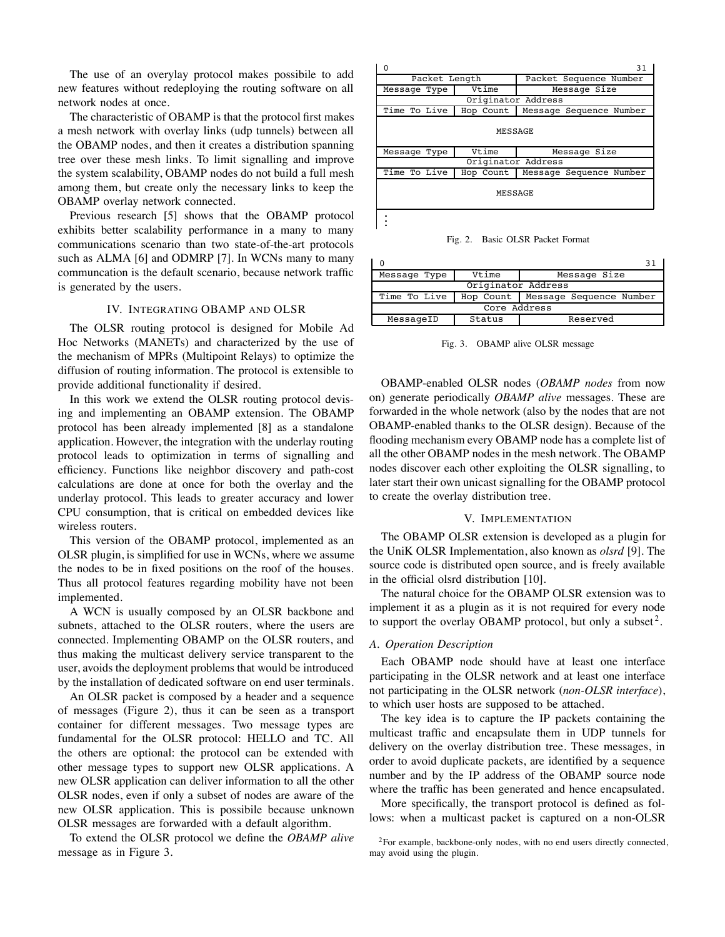The use of an overylay protocol makes possibile to add new features without redeploying the routing software on all network nodes at once.

The characteristic of OBAMP is that the protocol first makes a mesh network with overlay links (udp tunnels) between all the OBAMP nodes, and then it creates a distribution spanning tree over these mesh links. To limit signalling and improve the system scalability, OBAMP nodes do not build a full mesh among them, but create only the necessary links to keep the OBAMP overlay network connected.

Previous research [5] shows that the OBAMP protocol exhibits better scalability performance in a many to many communications scenario than two state-of-the-art protocols such as ALMA [6] and ODMRP [7]. In WCNs many to many communcation is the default scenario, because network traffic is generated by the users.

## IV. INTEGRATING OBAMP AND OLSR

The OLSR routing protocol is designed for Mobile Ad Hoc Networks (MANETs) and characterized by the use of the mechanism of MPRs (Multipoint Relays) to optimize the diffusion of routing information. The protocol is extensible to provide additional functionality if desired.

In this work we extend the OLSR routing protocol devising and implementing an OBAMP extension. The OBAMP protocol has been already implemented [8] as a standalone application. However, the integration with the underlay routing protocol leads to optimization in terms of signalling and efficiency. Functions like neighbor discovery and path-cost calculations are done at once for both the overlay and the underlay protocol. This leads to greater accuracy and lower CPU consumption, that is critical on embedded devices like wireless routers.

This version of the OBAMP protocol, implemented as an OLSR plugin, is simplified for use in WCNs, where we assume the nodes to be in fixed positions on the roof of the houses. Thus all protocol features regarding mobility have not been implemented.

A WCN is usually composed by an OLSR backbone and subnets, attached to the OLSR routers, where the users are connected. Implementing OBAMP on the OLSR routers, and thus making the multicast delivery service transparent to the user, avoids the deployment problems that would be introduced by the installation of dedicated software on end user terminals.

An OLSR packet is composed by a header and a sequence of messages (Figure 2), thus it can be seen as a transport container for different messages. Two message types are fundamental for the OLSR protocol: HELLO and TC. All the others are optional: the protocol can be extended with other message types to support new OLSR applications. A new OLSR application can deliver information to all the other OLSR nodes, even if only a subset of nodes are aware of the new OLSR application. This is possibile because unknown OLSR messages are forwarded with a default algorithm.

To extend the OLSR protocol we define the *OBAMP alive* message as in Figure 3.

| $\Omega$           |           | 31                      |  |
|--------------------|-----------|-------------------------|--|
| Packet Length      |           | Packet Sequence Number  |  |
| Message Type       | Vtime     | Message Size            |  |
| Originator Address |           |                         |  |
| Time To Live       | Hop Count | Message Sequence Number |  |
| MESSAGE            |           |                         |  |
| Message Type       | Vtime     | Message Size            |  |
| Originator Address |           |                         |  |
| Time To Live       | Hop Count | Message Sequence Number |  |
| MESSAGE            |           |                         |  |
|                    |           |                         |  |

Fig. 2. Basic OLSR Packet Format

| Message Type       | Vtime     | Message Size            |  |
|--------------------|-----------|-------------------------|--|
| Originator Address |           |                         |  |
| Time To Live       | Hop Count | Message Sequence Number |  |
| Core Address       |           |                         |  |
| MessageID          | Status    | Reserved                |  |

Fig. 3. OBAMP alive OLSR message

OBAMP-enabled OLSR nodes (*OBAMP nodes* from now on) generate periodically *OBAMP alive* messages. These are forwarded in the whole network (also by the nodes that are not OBAMP-enabled thanks to the OLSR design). Because of the flooding mechanism every OBAMP node has a complete list of all the other OBAMP nodes in the mesh network. The OBAMP nodes discover each other exploiting the OLSR signalling, to later start their own unicast signalling for the OBAMP protocol to create the overlay distribution tree.

# V. IMPLEMENTATION

The OBAMP OLSR extension is developed as a plugin for the UniK OLSR Implementation, also known as *olsrd* [9]. The source code is distributed open source, and is freely available in the official olsrd distribution [10].

The natural choice for the OBAMP OLSR extension was to implement it as a plugin as it is not required for every node to support the overlay OBAMP protocol, but only a subset<sup>2</sup>.

### *A. Operation Description*

Each OBAMP node should have at least one interface participating in the OLSR network and at least one interface not participating in the OLSR network (*non-OLSR interface*), to which user hosts are supposed to be attached.

The key idea is to capture the IP packets containing the multicast traffic and encapsulate them in UDP tunnels for delivery on the overlay distribution tree. These messages, in order to avoid duplicate packets, are identified by a sequence number and by the IP address of the OBAMP source node where the traffic has been generated and hence encapsulated.

More specifically, the transport protocol is defined as follows: when a multicast packet is captured on a non-OLSR

<sup>&</sup>lt;sup>2</sup>For example, backbone-only nodes, with no end users directly connected, may avoid using the plugin.